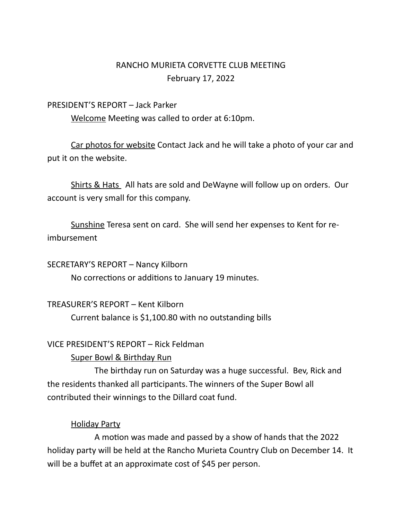# RANCHO MURIETA CORVETTE CLUB MEETING February 17, 2022

#### PRESIDENT'S REPORT – Jack Parker

Welcome Meeting was called to order at 6:10pm.

Car photos for website Contact Jack and he will take a photo of your car and put it on the website.

Shirts & Hats All hats are sold and DeWayne will follow up on orders. Our account is very small for this company.

Sunshine Teresa sent on card. She will send her expenses to Kent for reimbursement

SECRETARY'S REPORT – Nancy Kilborn

No corrections or additions to January 19 minutes.

TREASURER'S REPORT – Kent Kilborn

Current balance is \$1,100.80 with no outstanding bills

## VICE PRESIDENT'S REPORT – Rick Feldman

## Super Bowl & Birthday Run

The birthday run on Saturday was a huge successful. Bev, Rick and the residents thanked all participants. The winners of the Super Bowl all contributed their winnings to the Dillard coat fund.

## Holiday Party

A motion was made and passed by a show of hands that the 2022 holiday party will be held at the Rancho Murieta Country Club on December 14. It will be a buffet at an approximate cost of \$45 per person.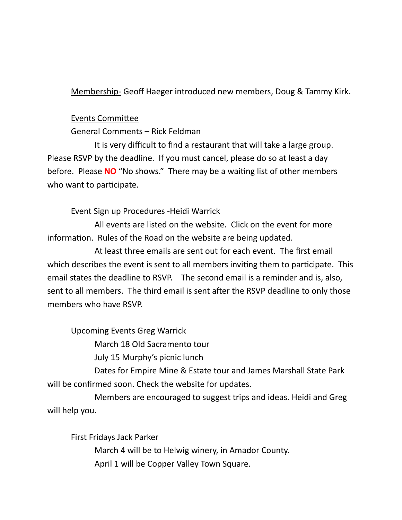Membership- Geoff Haeger introduced new members, Doug & Tammy Kirk.

### Events Committee

General Comments – Rick Feldman

It is very difficult to find a restaurant that will take a large group. Please RSVP by the deadline. If you must cancel, please do so at least a day before. Please **NO** "No shows." There may be a waiting list of other members who want to participate.

Event Sign up Procedures -Heidi Warrick

All events are listed on the website. Click on the event for more information. Rules of the Road on the website are being updated.

At least three emails are sent out for each event. The first email which describes the event is sent to all members inviting them to participate. This email states the deadline to RSVP. The second email is a reminder and is, also, sent to all members. The third email is sent after the RSVP deadline to only those members who have RSVP.

Upcoming Events Greg Warrick

March 18 Old Sacramento tour

July 15 Murphy's picnic lunch

Dates for Empire Mine & Estate tour and James Marshall State Park will be confirmed soon. Check the website for updates.

Members are encouraged to suggest trips and ideas. Heidi and Greg will help you.

First Fridays Jack Parker March 4 will be to Helwig winery, in Amador County. April 1 will be Copper Valley Town Square.